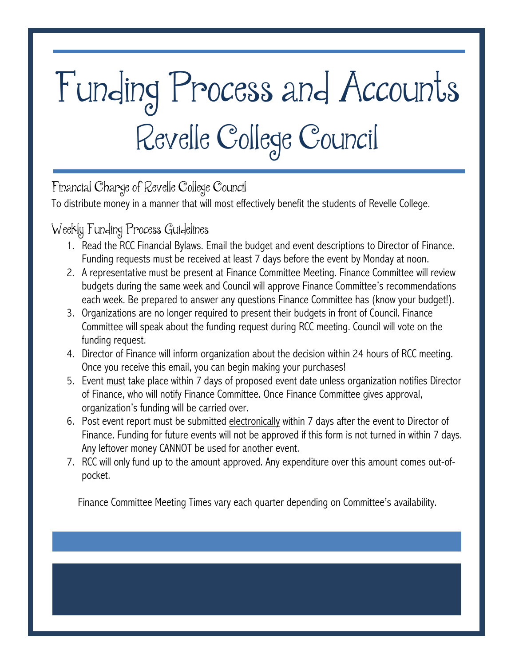## Funding Process and Accounts Revelle College Council

Financial Charge of Revelle College Council

To distribute money in a manner that will most effectively benefit the students of Revelle College.

Weekly Funding Process Guidelines

- 1. Read the RCC Financial Bylaws. Email the budget and event descriptions to Director of Finance. Funding requests must be received at least 7 days before the event by Monday at noon.
- 2. A representative must be present at Finance Committee Meeting. Finance Committee will review budgets during the same week and Council will approve Finance Committee's recommendations each week. Be prepared to answer any questions Finance Committee has (know your budget!).
- 3. Organizations are no longer required to present their budgets in front of Council. Finance Committee will speak about the funding request during RCC meeting. Council will vote on the funding request.
- 4. Director of Finance will inform organization about the decision within 24 hours of RCC meeting. Once you receive this email, you can begin making your purchases!
- 5. Event must take place within 7 days of proposed event date unless organization notifies Director of Finance, who will notify Finance Committee. Once Finance Committee gives approval, organization's funding will be carried over.
- 6. Post event report must be submitted electronically within 7 days after the event to Director of Finance. Funding for future events will not be approved if this form is not turned in within 7 days. Any leftover money CANNOT be used for another event.
- 7. RCC will only fund up to the amount approved. Any expenditure over this amount comes out-ofpocket.

Finance Committee Meeting Times vary each quarter depending on Committee's availability.